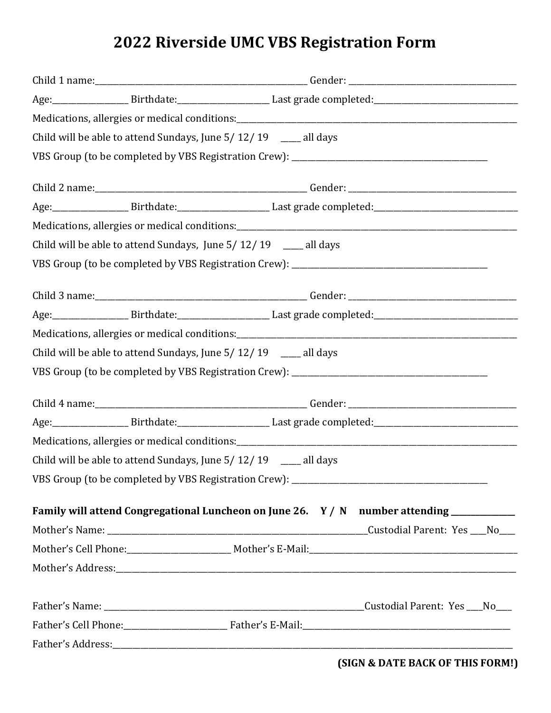## **2022 Riverside UMC VBS Registration Form**

|                                                                | Age: Birthdate: Birthdate: Last grade completed: Manual Age: 2014                        |  |
|----------------------------------------------------------------|------------------------------------------------------------------------------------------|--|
|                                                                |                                                                                          |  |
| Child will be able to attend Sundays, June 5/12/19 __ all days |                                                                                          |  |
|                                                                |                                                                                          |  |
|                                                                |                                                                                          |  |
|                                                                | Age: Birthdate: Birthdate: Last grade completed: Manual Age: 2014                        |  |
|                                                                |                                                                                          |  |
| Child will be able to attend Sundays, June 5/12/19 __ all days |                                                                                          |  |
|                                                                |                                                                                          |  |
|                                                                |                                                                                          |  |
|                                                                | Age: Birthdate: Birthdate: Last grade completed: Manual Age: 2014                        |  |
|                                                                |                                                                                          |  |
| Child will be able to attend Sundays, June 5/12/19 __ all days |                                                                                          |  |
|                                                                |                                                                                          |  |
|                                                                |                                                                                          |  |
|                                                                | Age: Birthdate: Birthdate: Last grade completed: Manual Age: 2010                        |  |
|                                                                |                                                                                          |  |
| Child will be able to attend Sundays, June 5/12/19 __ all days |                                                                                          |  |
|                                                                |                                                                                          |  |
|                                                                | Family will attend Congregational Luncheon on June 26. Y / N number attending __________ |  |
|                                                                |                                                                                          |  |
|                                                                |                                                                                          |  |
|                                                                |                                                                                          |  |
|                                                                |                                                                                          |  |
|                                                                |                                                                                          |  |
|                                                                |                                                                                          |  |

**(SIGN & DATE BACK OF THIS FORM!)**